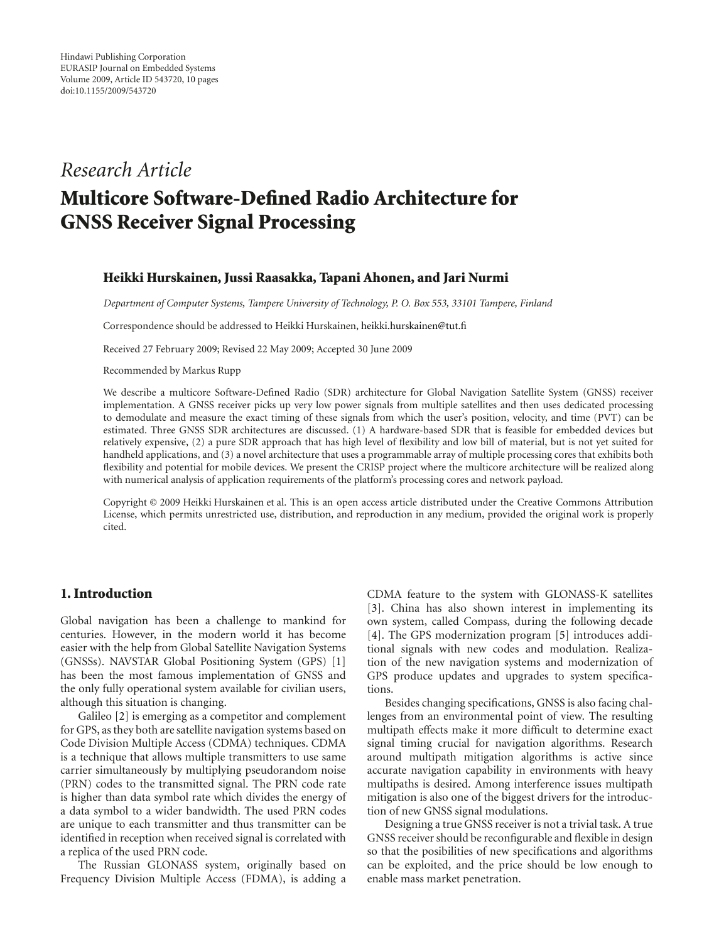# *Research Article*

# **Multicore Software-Defined Radio Architecture for GNSS Receiver Signal Processing**

#### **Heikki Hurskainen, Jussi Raasakka, Tapani Ahonen, and Jari Nurmi**

*Department of Computer Systems, Tampere University of Technology, P. O. Box 553, 33101 Tampere, Finland*

Correspondence should be addressed to Heikki Hurskainen, heikki.hurskainen@tut.fi

Received 27 February 2009; Revised 22 May 2009; Accepted 30 June 2009

Recommended by Markus Rupp

We describe a multicore Software-Defined Radio (SDR) architecture for Global Navigation Satellite System (GNSS) receiver implementation. A GNSS receiver picks up very low power signals from multiple satellites and then uses dedicated processing to demodulate and measure the exact timing of these signals from which the user's position, velocity, and time (PVT) can be estimated. Three GNSS SDR architectures are discussed. (1) A hardware-based SDR that is feasible for embedded devices but relatively expensive, (2) a pure SDR approach that has high level of flexibility and low bill of material, but is not yet suited for handheld applications, and (3) a novel architecture that uses a programmable array of multiple processing cores that exhibits both flexibility and potential for mobile devices. We present the CRISP project where the multicore architecture will be realized along with numerical analysis of application requirements of the platform's processing cores and network payload.

Copyright © 2009 Heikki Hurskainen et al. This is an open access article distributed under the Creative Commons Attribution License, which permits unrestricted use, distribution, and reproduction in any medium, provided the original work is properly cited.

## **1. Introduction**

Global navigation has been a challenge to mankind for centuries. However, in the modern world it has become easier with the help from Global Satellite Navigation Systems (GNSSs). NAVSTAR Global Positioning System (GPS) [1] has been the most famous implementation of GNSS and the only fully operational system available for civilian users, although this situation is changing.

Galileo [2] is emerging as a competitor and complement for GPS, as they both are satellite navigation systems based on Code Division Multiple Access (CDMA) techniques. CDMA is a technique that allows multiple transmitters to use same carrier simultaneously by multiplying pseudorandom noise (PRN) codes to the transmitted signal. The PRN code rate is higher than data symbol rate which divides the energy of a data symbol to a wider bandwidth. The used PRN codes are unique to each transmitter and thus transmitter can be identified in reception when received signal is correlated with a replica of the used PRN code.

The Russian GLONASS system, originally based on Frequency Division Multiple Access (FDMA), is adding a CDMA feature to the system with GLONASS-K satellites [3]. China has also shown interest in implementing its own system, called Compass, during the following decade [4]. The GPS modernization program [5] introduces additional signals with new codes and modulation. Realization of the new navigation systems and modernization of GPS produce updates and upgrades to system specifications.

Besides changing specifications, GNSS is also facing challenges from an environmental point of view. The resulting multipath effects make it more difficult to determine exact signal timing crucial for navigation algorithms. Research around multipath mitigation algorithms is active since accurate navigation capability in environments with heavy multipaths is desired. Among interference issues multipath mitigation is also one of the biggest drivers for the introduction of new GNSS signal modulations.

Designing a true GNSS receiver is not a trivial task. A true GNSS receiver should be reconfigurable and flexible in design so that the posibilities of new specifications and algorithms can be exploited, and the price should be low enough to enable mass market penetration.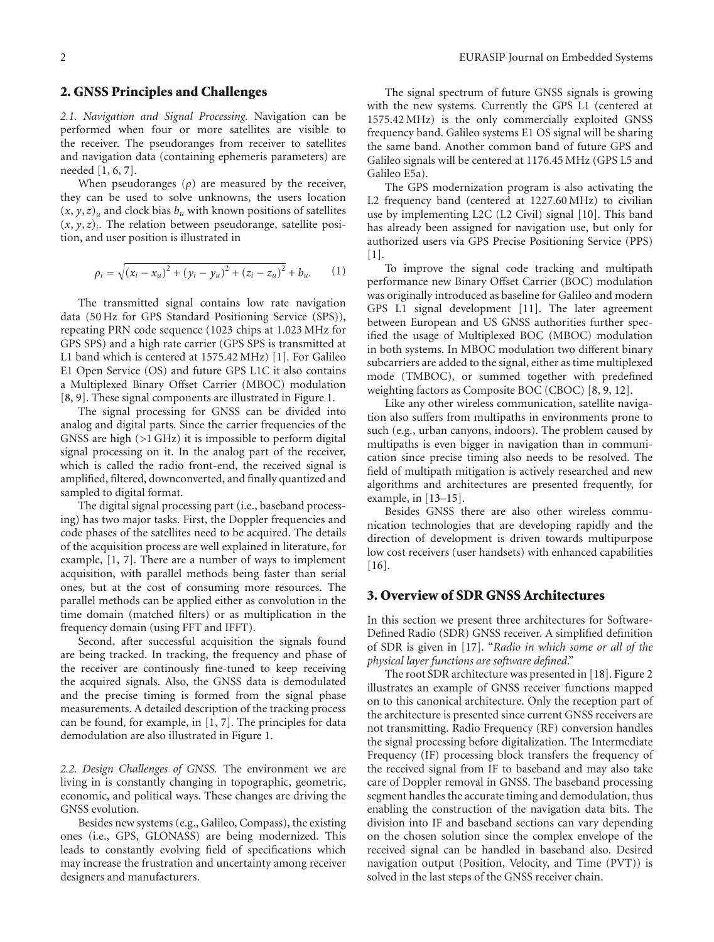#### **2. GNSS Principles and Challenges**

*2.1. Navigation and Signal Processing.* Navigation can be performed when four or more satellites are visible to the receiver. The pseudoranges from receiver to satellites and navigation data (containing ephemeris parameters) are needed [1, 6, 7].

When pseudoranges  $(\rho)$  are measured by the receiver, they can be used to solve unknowns, the users location  $(x, y, z)$ <sub>u</sub> and clock bias  $b<sub>u</sub>$  with known positions of satellites  $(x, y, z)<sub>i</sub>$ . The relation between pseudorange, satellite position, and user position is illustrated in

$$
\rho_i = \sqrt{(x_i - x_u)^2 + (y_i - y_u)^2 + (z_i - z_u)^2} + b_u.
$$
 (1)

The transmitted signal contains low rate navigation data (50 Hz for GPS Standard Positioning Service (SPS)), repeating PRN code sequence (1023 chips at 1.023 MHz for GPS SPS) and a high rate carrier (GPS SPS is transmitted at L1 band which is centered at 1575.42 MHz) [1]. For Galileo E1 Open Service (OS) and future GPS L1C it also contains a Multiplexed Binary Offset Carrier (MBOC) modulation [8, 9]. These signal components are illustrated in Figure 1.

The signal processing for GNSS can be divided into analog and digital parts. Since the carrier frequencies of the GNSS are high (*>*1 GHz) it is impossible to perform digital signal processing on it. In the analog part of the receiver, which is called the radio front-end, the received signal is amplified, filtered, downconverted, and finally quantized and sampled to digital format.

The digital signal processing part (i.e., baseband processing) has two major tasks. First, the Doppler frequencies and code phases of the satellites need to be acquired. The details of the acquisition process are well explained in literature, for example, [1, 7]. There are a number of ways to implement acquisition, with parallel methods being faster than serial ones, but at the cost of consuming more resources. The parallel methods can be applied either as convolution in the time domain (matched filters) or as multiplication in the frequency domain (using FFT and IFFT).

Second, after successful acquisition the signals found are being tracked. In tracking, the frequency and phase of the receiver are continously fine-tuned to keep receiving the acquired signals. Also, the GNSS data is demodulated and the precise timing is formed from the signal phase measurements. A detailed description of the tracking process can be found, for example, in [1, 7]. The principles for data demodulation are also illustrated in Figure 1.

*2.2. Design Challenges of GNSS.* The environment we are living in is constantly changing in topographic, geometric, economic, and political ways. These changes are driving the GNSS evolution.

Besides new systems (e.g., Galileo, Compass), the existing ones (i.e., GPS, GLONASS) are being modernized. This leads to constantly evolving field of specifications which may increase the frustration and uncertainty among receiver designers and manufacturers.

The signal spectrum of future GNSS signals is growing with the new systems. Currently the GPS L1 (centered at 1575.42 MHz) is the only commercially exploited GNSS frequency band. Galileo systems E1 OS signal will be sharing the same band. Another common band of future GPS and Galileo signals will be centered at 1176.45 MHz (GPS L5 and Galileo E5a).

The GPS modernization program is also activating the L2 frequency band (centered at 1227.60 MHz) to civilian use by implementing L2C (L2 Civil) signal [10]. This band has already been assigned for navigation use, but only for authorized users via GPS Precise Positioning Service (PPS) [1].

To improve the signal code tracking and multipath performance new Binary Offset Carrier (BOC) modulation was originally introduced as baseline for Galileo and modern GPS L1 signal development [11]. The later agreement between European and US GNSS authorities further specified the usage of Multiplexed BOC (MBOC) modulation in both systems. In MBOC modulation two different binary subcarriers are added to the signal, either as time multiplexed mode (TMBOC), or summed together with predefined weighting factors as Composite BOC (CBOC) [8, 9, 12].

Like any other wireless communication, satellite navigation also suffers from multipaths in environments prone to such (e.g., urban canyons, indoors). The problem caused by multipaths is even bigger in navigation than in communication since precise timing also needs to be resolved. The field of multipath mitigation is actively researched and new algorithms and architectures are presented frequently, for example, in [13–15].

Besides GNSS there are also other wireless communication technologies that are developing rapidly and the direction of development is driven towards multipurpose low cost receivers (user handsets) with enhanced capabilities [16].

#### **3. Overview of SDR GNSS Architectures**

In this section we present three architectures for Software-Defined Radio (SDR) GNSS receiver. A simplified definition of SDR is given in [17]. "*Radio in which some or all of the physical layer functions are software defined*."

The root SDR architecture was presented in [18]. Figure 2 illustrates an example of GNSS receiver functions mapped on to this canonical architecture. Only the reception part of the architecture is presented since current GNSS receivers are not transmitting. Radio Frequency (RF) conversion handles the signal processing before digitalization. The Intermediate Frequency (IF) processing block transfers the frequency of the received signal from IF to baseband and may also take care of Doppler removal in GNSS. The baseband processing segment handles the accurate timing and demodulation, thus enabling the construction of the navigation data bits. The division into IF and baseband sections can vary depending on the chosen solution since the complex envelope of the received signal can be handled in baseband also. Desired navigation output (Position, Velocity, and Time (PVT)) is solved in the last steps of the GNSS receiver chain.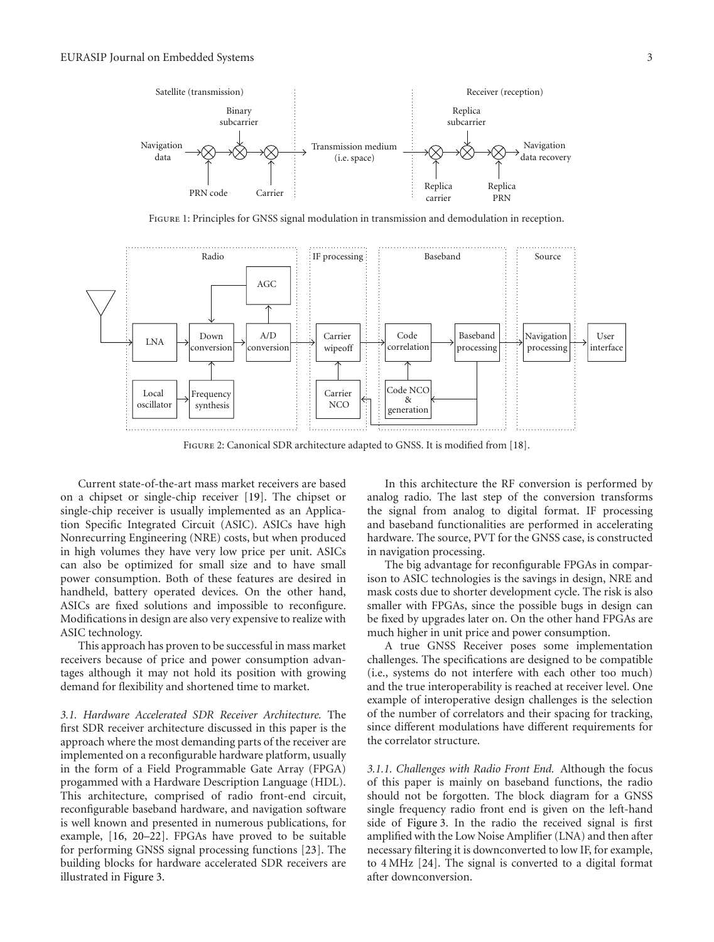

Figure 1: Principles for GNSS signal modulation in transmission and demodulation in reception.



Figure 2: Canonical SDR architecture adapted to GNSS. It is modified from [18].

Current state-of-the-art mass market receivers are based on a chipset or single-chip receiver [19]. The chipset or single-chip receiver is usually implemented as an Application Specific Integrated Circuit (ASIC). ASICs have high Nonrecurring Engineering (NRE) costs, but when produced in high volumes they have very low price per unit. ASICs can also be optimized for small size and to have small power consumption. Both of these features are desired in handheld, battery operated devices. On the other hand, ASICs are fixed solutions and impossible to reconfigure. Modifications in design are also very expensive to realize with ASIC technology.

This approach has proven to be successful in mass market receivers because of price and power consumption advantages although it may not hold its position with growing demand for flexibility and shortened time to market.

*3.1. Hardware Accelerated SDR Receiver Architecture.* The first SDR receiver architecture discussed in this paper is the approach where the most demanding parts of the receiver are implemented on a reconfigurable hardware platform, usually in the form of a Field Programmable Gate Array (FPGA) progammed with a Hardware Description Language (HDL). This architecture, comprised of radio front-end circuit, reconfigurable baseband hardware, and navigation software is well known and presented in numerous publications, for example, [16, 20–22]. FPGAs have proved to be suitable for performing GNSS signal processing functions [23]. The building blocks for hardware accelerated SDR receivers are illustrated in Figure 3.

In this architecture the RF conversion is performed by analog radio. The last step of the conversion transforms the signal from analog to digital format. IF processing and baseband functionalities are performed in accelerating hardware. The source, PVT for the GNSS case, is constructed in navigation processing.

The big advantage for reconfigurable FPGAs in comparison to ASIC technologies is the savings in design, NRE and mask costs due to shorter development cycle. The risk is also smaller with FPGAs, since the possible bugs in design can be fixed by upgrades later on. On the other hand FPGAs are much higher in unit price and power consumption.

A true GNSS Receiver poses some implementation challenges. The specifications are designed to be compatible (i.e., systems do not interfere with each other too much) and the true interoperability is reached at receiver level. One example of interoperative design challenges is the selection of the number of correlators and their spacing for tracking, since different modulations have different requirements for the correlator structure.

*3.1.1. Challenges with Radio Front End.* Although the focus of this paper is mainly on baseband functions, the radio should not be forgotten. The block diagram for a GNSS single frequency radio front end is given on the left-hand side of Figure 3. In the radio the received signal is first amplified with the Low Noise Amplifier (LNA) and then after necessary filtering it is downconverted to low IF, for example, to 4 MHz [24]. The signal is converted to a digital format after downconversion.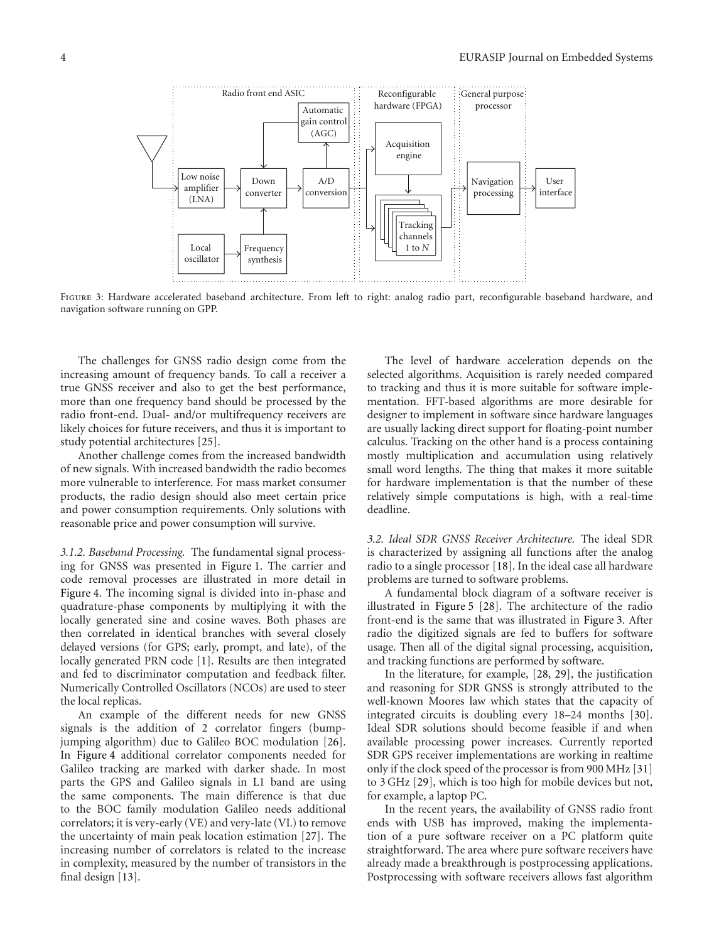

FIGURE 3: Hardware accelerated baseband architecture. From left to right: analog radio part, reconfigurable baseband hardware, and navigation software running on GPP.

The challenges for GNSS radio design come from the increasing amount of frequency bands. To call a receiver a true GNSS receiver and also to get the best performance, more than one frequency band should be processed by the radio front-end. Dual- and/or multifrequency receivers are likely choices for future receivers, and thus it is important to study potential architectures [25].

Another challenge comes from the increased bandwidth of new signals. With increased bandwidth the radio becomes more vulnerable to interference. For mass market consumer products, the radio design should also meet certain price and power consumption requirements. Only solutions with reasonable price and power consumption will survive.

*3.1.2. Baseband Processing.* The fundamental signal processing for GNSS was presented in Figure 1. The carrier and code removal processes are illustrated in more detail in Figure 4. The incoming signal is divided into in-phase and quadrature-phase components by multiplying it with the locally generated sine and cosine waves. Both phases are then correlated in identical branches with several closely delayed versions (for GPS; early, prompt, and late), of the locally generated PRN code [1]. Results are then integrated and fed to discriminator computation and feedback filter. Numerically Controlled Oscillators (NCOs) are used to steer the local replicas.

An example of the different needs for new GNSS signals is the addition of 2 correlator fingers (bumpjumping algorithm) due to Galileo BOC modulation [26]. In Figure 4 additional correlator components needed for Galileo tracking are marked with darker shade. In most parts the GPS and Galileo signals in L1 band are using the same components. The main difference is that due to the BOC family modulation Galileo needs additional correlators; it is very-early (VE) and very-late (VL) to remove the uncertainty of main peak location estimation [27]. The increasing number of correlators is related to the increase in complexity, measured by the number of transistors in the final design [13].

The level of hardware acceleration depends on the selected algorithms. Acquisition is rarely needed compared to tracking and thus it is more suitable for software implementation. FFT-based algorithms are more desirable for designer to implement in software since hardware languages are usually lacking direct support for floating-point number calculus. Tracking on the other hand is a process containing mostly multiplication and accumulation using relatively small word lengths. The thing that makes it more suitable for hardware implementation is that the number of these relatively simple computations is high, with a real-time deadline.

*3.2. Ideal SDR GNSS Receiver Architecture.* The ideal SDR is characterized by assigning all functions after the analog radio to a single processor [18]. In the ideal case all hardware problems are turned to software problems.

A fundamental block diagram of a software receiver is illustrated in Figure 5 [28]. The architecture of the radio front-end is the same that was illustrated in Figure 3. After radio the digitized signals are fed to buffers for software usage. Then all of the digital signal processing, acquisition, and tracking functions are performed by software.

In the literature, for example, [28, 29], the justification and reasoning for SDR GNSS is strongly attributed to the well-known Moores law which states that the capacity of integrated circuits is doubling every 18–24 months [30]. Ideal SDR solutions should become feasible if and when available processing power increases. Currently reported SDR GPS receiver implementations are working in realtime only if the clock speed of the processor is from 900 MHz [31] to 3 GHz [29], which is too high for mobile devices but not, for example, a laptop PC.

In the recent years, the availability of GNSS radio front ends with USB has improved, making the implementation of a pure software receiver on a PC platform quite straightforward. The area where pure software receivers have already made a breakthrough is postprocessing applications. Postprocessing with software receivers allows fast algorithm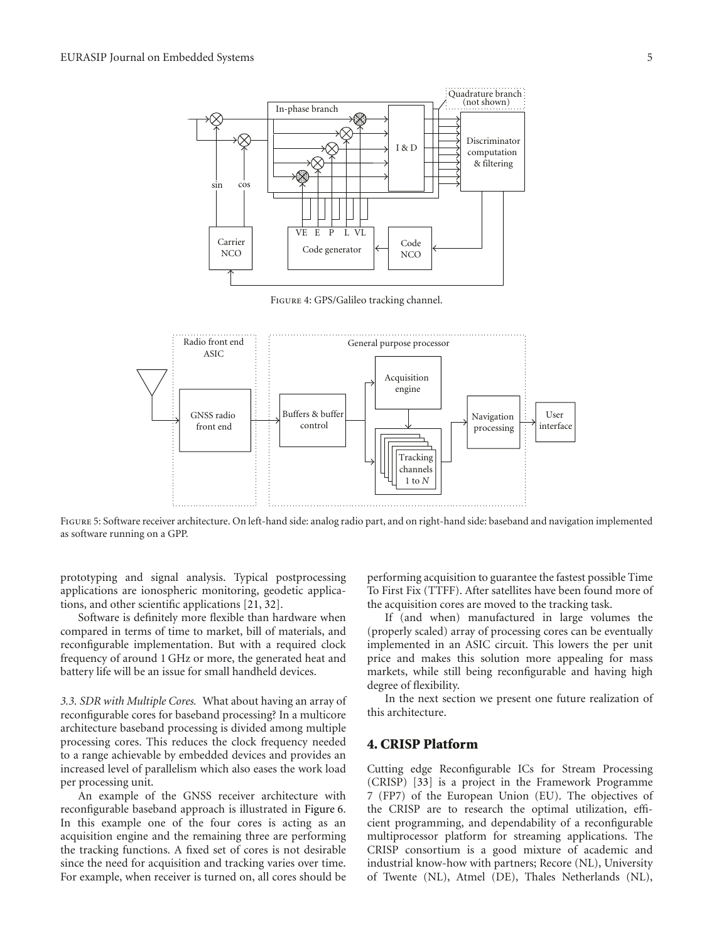

Figure 4: GPS/Galileo tracking channel.



Figure 5: Software receiver architecture. On left-hand side: analog radio part, and on right-hand side: baseband and navigation implemented as software running on a GPP.

prototyping and signal analysis. Typical postprocessing applications are ionospheric monitoring, geodetic applications, and other scientific applications [21, 32].

Software is definitely more flexible than hardware when compared in terms of time to market, bill of materials, and reconfigurable implementation. But with a required clock frequency of around 1 GHz or more, the generated heat and battery life will be an issue for small handheld devices.

*3.3. SDR with Multiple Cores.* What about having an array of reconfigurable cores for baseband processing? In a multicore architecture baseband processing is divided among multiple processing cores. This reduces the clock frequency needed to a range achievable by embedded devices and provides an increased level of parallelism which also eases the work load per processing unit.

An example of the GNSS receiver architecture with reconfigurable baseband approach is illustrated in Figure 6. In this example one of the four cores is acting as an acquisition engine and the remaining three are performing the tracking functions. A fixed set of cores is not desirable since the need for acquisition and tracking varies over time. For example, when receiver is turned on, all cores should be

performing acquisition to guarantee the fastest possible Time To First Fix (TTFF). After satellites have been found more of the acquisition cores are moved to the tracking task.

If (and when) manufactured in large volumes the (properly scaled) array of processing cores can be eventually implemented in an ASIC circuit. This lowers the per unit price and makes this solution more appealing for mass markets, while still being reconfigurable and having high degree of flexibility.

In the next section we present one future realization of this architecture.

## **4. CRISP Platform**

Cutting edge Reconfigurable ICs for Stream Processing (CRISP) [33] is a project in the Framework Programme 7 (FP7) of the European Union (EU). The objectives of the CRISP are to research the optimal utilization, efficient programming, and dependability of a reconfigurable multiprocessor platform for streaming applications. The CRISP consortium is a good mixture of academic and industrial know-how with partners; Recore (NL), University of Twente (NL), Atmel (DE), Thales Netherlands (NL),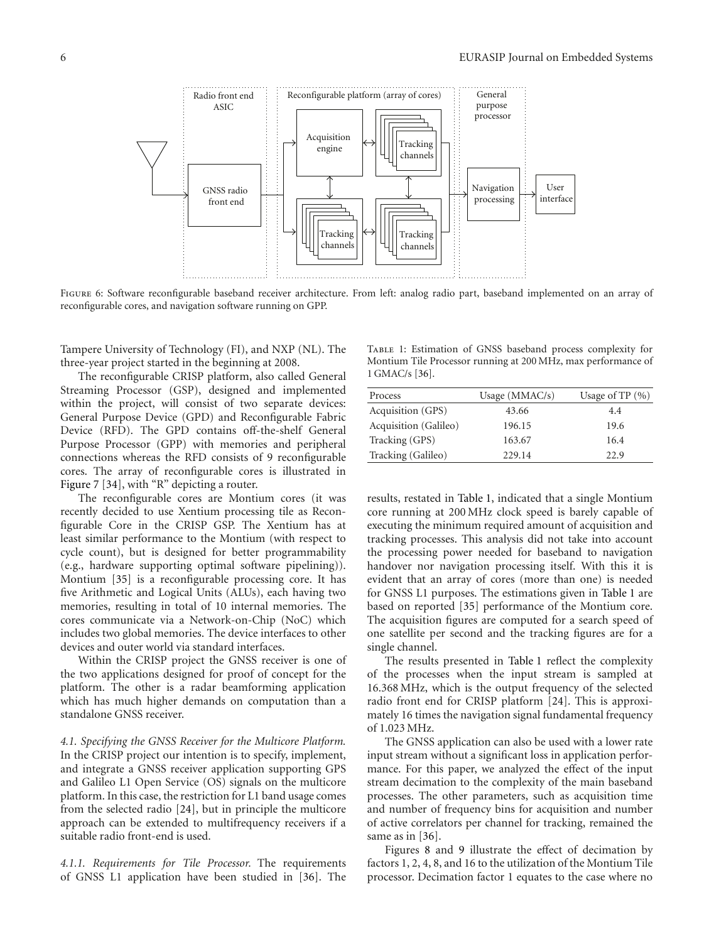

FIGURE 6: Software reconfigurable baseband receiver architecture. From left: analog radio part, baseband implemented on an array of reconfigurable cores, and navigation software running on GPP.

Tampere University of Technology (FI), and NXP (NL). The three-year project started in the beginning at 2008.

The reconfigurable CRISP platform, also called General Streaming Processor (GSP), designed and implemented within the project, will consist of two separate devices: General Purpose Device (GPD) and Reconfigurable Fabric Device (RFD). The GPD contains off-the-shelf General Purpose Processor (GPP) with memories and peripheral connections whereas the RFD consists of 9 reconfigurable cores. The array of reconfigurable cores is illustrated in Figure 7 [34], with "R" depicting a router.

The reconfigurable cores are Montium cores (it was recently decided to use Xentium processing tile as Reconfigurable Core in the CRISP GSP. The Xentium has at least similar performance to the Montium (with respect to cycle count), but is designed for better programmability (e.g., hardware supporting optimal software pipelining)). Montium [35] is a reconfigurable processing core. It has five Arithmetic and Logical Units (ALUs), each having two memories, resulting in total of 10 internal memories. The cores communicate via a Network-on-Chip (NoC) which includes two global memories. The device interfaces to other devices and outer world via standard interfaces.

Within the CRISP project the GNSS receiver is one of the two applications designed for proof of concept for the platform. The other is a radar beamforming application which has much higher demands on computation than a standalone GNSS receiver.

*4.1. Specifying the GNSS Receiver for the Multicore Platform.* In the CRISP project our intention is to specify, implement, and integrate a GNSS receiver application supporting GPS and Galileo L1 Open Service (OS) signals on the multicore platform. In this case, the restriction for L1 band usage comes from the selected radio [24], but in principle the multicore approach can be extended to multifrequency receivers if a suitable radio front-end is used.

*4.1.1. Requirements for Tile Processor.* The requirements of GNSS L1 application have been studied in [36]. The

Table 1: Estimation of GNSS baseband process complexity for Montium Tile Processor running at 200 MHz, max performance of 1 GMAC/s [36].

| Process               | Usage $(MMAC/s)$ | Usage of TP $(\% )$ |
|-----------------------|------------------|---------------------|
| Acquisition (GPS)     | 43.66            | 4.4                 |
| Acquisition (Galileo) | 196.15           | 19.6                |
| Tracking (GPS)        | 163.67           | 16.4                |
| Tracking (Galileo)    | 229.14           | 22.9                |

results, restated in Table 1, indicated that a single Montium core running at 200 MHz clock speed is barely capable of executing the minimum required amount of acquisition and tracking processes. This analysis did not take into account the processing power needed for baseband to navigation handover nor navigation processing itself. With this it is evident that an array of cores (more than one) is needed for GNSS L1 purposes. The estimations given in Table 1 are based on reported [35] performance of the Montium core. The acquisition figures are computed for a search speed of one satellite per second and the tracking figures are for a single channel.

The results presented in Table 1 reflect the complexity of the processes when the input stream is sampled at 16.368 MHz, which is the output frequency of the selected radio front end for CRISP platform [24]. This is approximately 16 times the navigation signal fundamental frequency of 1.023 MHz.

The GNSS application can also be used with a lower rate input stream without a significant loss in application performance. For this paper, we analyzed the effect of the input stream decimation to the complexity of the main baseband processes. The other parameters, such as acquisition time and number of frequency bins for acquisition and number of active correlators per channel for tracking, remained the same as in [36].

Figures 8 and 9 illustrate the effect of decimation by factors 1, 2, 4, 8, and 16 to the utilization of the Montium Tile processor. Decimation factor 1 equates to the case where no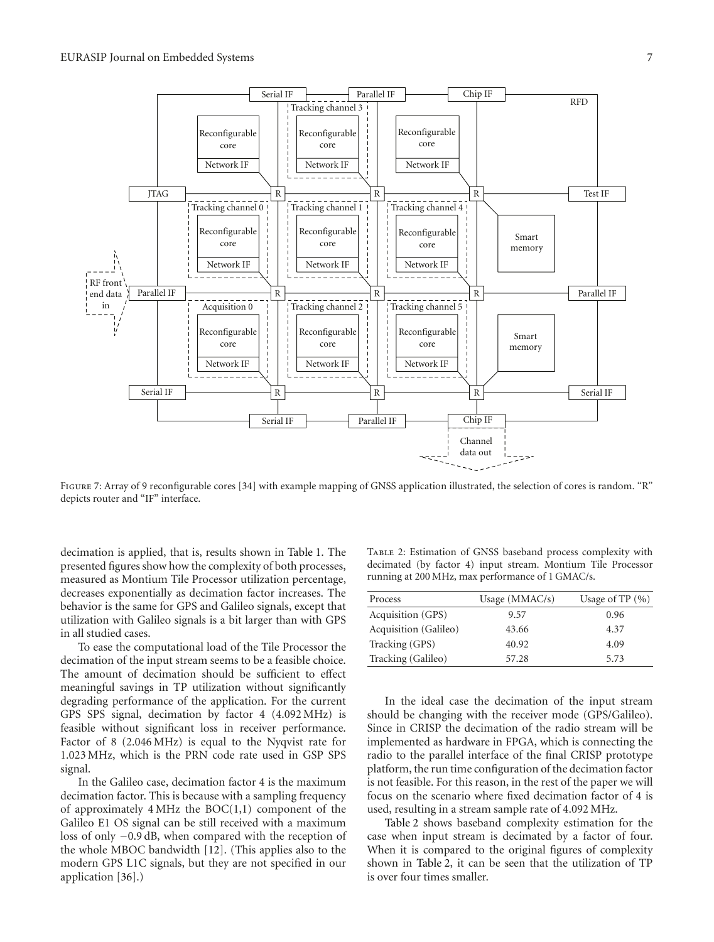

FIGURE 7: Array of 9 reconfigurable cores [34] with example mapping of GNSS application illustrated, the selection of cores is random. "R" depicts router and "IF" interface.

decimation is applied, that is, results shown in Table 1. The presented figures show how the complexity of both processes, measured as Montium Tile Processor utilization percentage, decreases exponentially as decimation factor increases. The behavior is the same for GPS and Galileo signals, except that utilization with Galileo signals is a bit larger than with GPS in all studied cases.

To ease the computational load of the Tile Processor the decimation of the input stream seems to be a feasible choice. The amount of decimation should be sufficient to effect meaningful savings in TP utilization without significantly degrading performance of the application. For the current GPS SPS signal, decimation by factor 4 (4.092 MHz) is feasible without significant loss in receiver performance. Factor of 8 (2.046 MHz) is equal to the Nyqvist rate for 1.023 MHz, which is the PRN code rate used in GSP SPS signal.

In the Galileo case, decimation factor 4 is the maximum decimation factor. This is because with a sampling frequency of approximately  $4 \text{ MHz}$  the  $BOC(1,1)$  component of the Galileo E1 OS signal can be still received with a maximum loss of only *−*0.9 dB, when compared with the reception of the whole MBOC bandwidth [12]. (This applies also to the modern GPS L1C signals, but they are not specified in our application [36].)

Table 2: Estimation of GNSS baseband process complexity with decimated (by factor 4) input stream. Montium Tile Processor running at 200 MHz, max performance of 1 GMAC/s.

| Process               | Usage $(MMAC/s)$ | Usage of $TP(%)$ |
|-----------------------|------------------|------------------|
| Acquisition (GPS)     | 9.57             | 0.96             |
| Acquisition (Galileo) | 43.66            | 4.37             |
| Tracking (GPS)        | 40.92            | 4.09             |
| Tracking (Galileo)    | 57.28            | 5.73             |

In the ideal case the decimation of the input stream should be changing with the receiver mode (GPS/Galileo). Since in CRISP the decimation of the radio stream will be implemented as hardware in FPGA, which is connecting the radio to the parallel interface of the final CRISP prototype platform, the run time configuration of the decimation factor is not feasible. For this reason, in the rest of the paper we will focus on the scenario where fixed decimation factor of 4 is used, resulting in a stream sample rate of 4.092 MHz.

Table 2 shows baseband complexity estimation for the case when input stream is decimated by a factor of four. When it is compared to the original figures of complexity shown in Table 2, it can be seen that the utilization of TP is over four times smaller.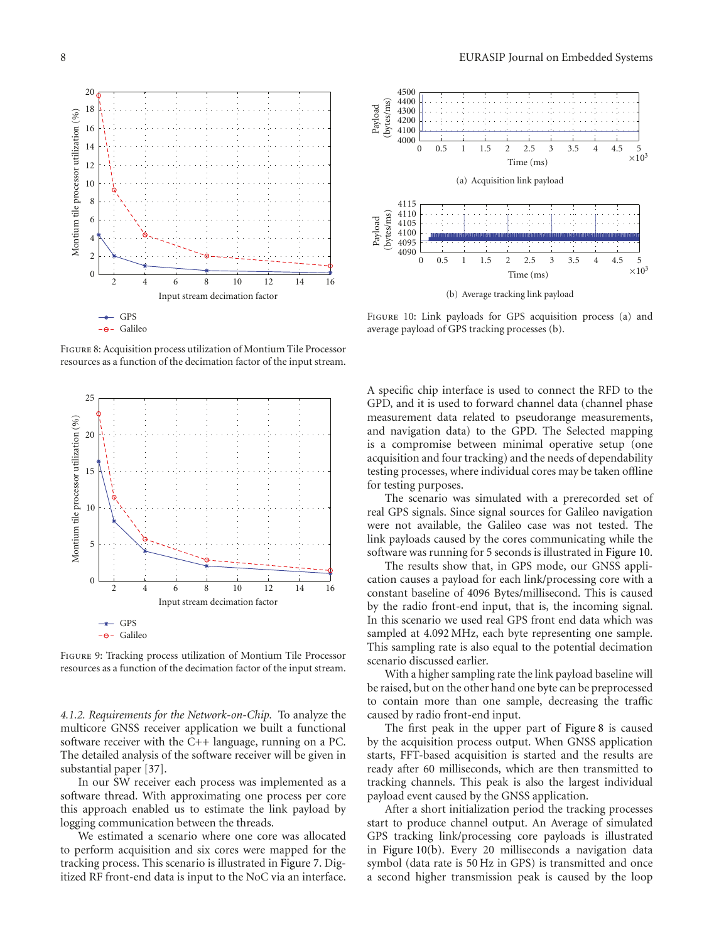

Figure 8: Acquisition process utilization of Montium Tile Processor resources as a function of the decimation factor of the input stream.



Figure 9: Tracking process utilization of Montium Tile Processor resources as a function of the decimation factor of the input stream.

*4.1.2. Requirements for the Network-on-Chip.* To analyze the multicore GNSS receiver application we built a functional software receiver with the C++ language, running on a PC. The detailed analysis of the software receiver will be given in substantial paper [37].

In our SW receiver each process was implemented as a software thread. With approximating one process per core this approach enabled us to estimate the link payload by logging communication between the threads.

We estimated a scenario where one core was allocated to perform acquisition and six cores were mapped for the tracking process. This scenario is illustrated in Figure 7. Digitized RF front-end data is input to the NoC via an interface.



(b) Average tracking link payload

Figure 10: Link payloads for GPS acquisition process (a) and average payload of GPS tracking processes (b).

A specific chip interface is used to connect the RFD to the GPD, and it is used to forward channel data (channel phase measurement data related to pseudorange measurements, and navigation data) to the GPD. The Selected mapping is a compromise between minimal operative setup (one acquisition and four tracking) and the needs of dependability testing processes, where individual cores may be taken offline for testing purposes.

The scenario was simulated with a prerecorded set of real GPS signals. Since signal sources for Galileo navigation were not available, the Galileo case was not tested. The link payloads caused by the cores communicating while the software was running for 5 seconds is illustrated in Figure 10.

The results show that, in GPS mode, our GNSS application causes a payload for each link/processing core with a constant baseline of 4096 Bytes/millisecond. This is caused by the radio front-end input, that is, the incoming signal. In this scenario we used real GPS front end data which was sampled at 4.092 MHz, each byte representing one sample. This sampling rate is also equal to the potential decimation scenario discussed earlier.

With a higher sampling rate the link payload baseline will be raised, but on the other hand one byte can be preprocessed to contain more than one sample, decreasing the traffic caused by radio front-end input.

The first peak in the upper part of Figure 8 is caused by the acquisition process output. When GNSS application starts, FFT-based acquisition is started and the results are ready after 60 milliseconds, which are then transmitted to tracking channels. This peak is also the largest individual payload event caused by the GNSS application.

After a short initialization period the tracking processes start to produce channel output. An Average of simulated GPS tracking link/processing core payloads is illustrated in Figure 10(b). Every 20 milliseconds a navigation data symbol (data rate is 50 Hz in GPS) is transmitted and once a second higher transmission peak is caused by the loop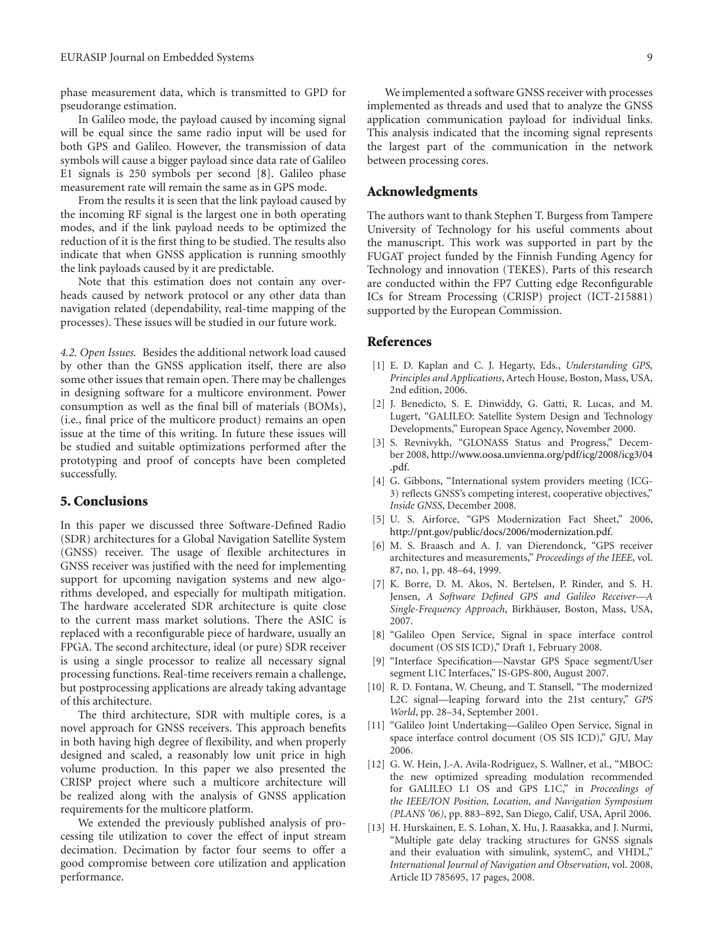phase measurement data, which is transmitted to GPD for pseudorange estimation.

In Galileo mode, the payload caused by incoming signal will be equal since the same radio input will be used for both GPS and Galileo. However, the transmission of data symbols will cause a bigger payload since data rate of Galileo E1 signals is 250 symbols per second [8]. Galileo phase measurement rate will remain the same as in GPS mode.

From the results it is seen that the link payload caused by the incoming RF signal is the largest one in both operating modes, and if the link payload needs to be optimized the reduction of it is the first thing to be studied. The results also indicate that when GNSS application is running smoothly the link payloads caused by it are predictable.

Note that this estimation does not contain any overheads caused by network protocol or any other data than navigation related (dependability, real-time mapping of the processes). These issues will be studied in our future work.

*4.2. Open Issues.* Besides the additional network load caused by other than the GNSS application itself, there are also some other issues that remain open. There may be challenges in designing software for a multicore environment. Power consumption as well as the final bill of materials (BOMs), (i.e., final price of the multicore product) remains an open issue at the time of this writing. In future these issues will be studied and suitable optimizations performed after the prototyping and proof of concepts have been completed successfully.

#### **5. Conclusions**

In this paper we discussed three Software-Defined Radio (SDR) architectures for a Global Navigation Satellite System (GNSS) receiver. The usage of flexible architectures in GNSS receiver was justified with the need for implementing support for upcoming navigation systems and new algorithms developed, and especially for multipath mitigation. The hardware accelerated SDR architecture is quite close to the current mass market solutions. There the ASIC is replaced with a reconfigurable piece of hardware, usually an FPGA. The second architecture, ideal (or pure) SDR receiver is using a single processor to realize all necessary signal processing functions. Real-time receivers remain a challenge, but postprocessing applications are already taking advantage of this architecture.

The third architecture, SDR with multiple cores, is a novel approach for GNSS receivers. This approach benefits in both having high degree of flexibility, and when properly designed and scaled, a reasonably low unit price in high volume production. In this paper we also presented the CRISP project where such a multicore architecture will be realized along with the analysis of GNSS application requirements for the multicore platform.

We extended the previously published analysis of processing tile utilization to cover the effect of input stream decimation. Decimation by factor four seems to offer a good compromise between core utilization and application performance.

#### **Acknowledgments**

The authors want to thank Stephen T. Burgess from Tampere University of Technology for his useful comments about the manuscript. This work was supported in part by the FUGAT project funded by the Finnish Funding Agency for Technology and innovation (TEKES). Parts of this research are conducted within the FP7 Cutting edge Reconfigurable ICs for Stream Processing (CRISP) project (ICT-215881) supported by the European Commission.

#### **References**

- [1] E. D. Kaplan and C. J. Hegarty, Eds., *Understanding GPS, Principles and Applications*, Artech House, Boston, Mass, USA, 2nd edition, 2006.
- [2] J. Benedicto, S. E. Dinwiddy, G. Gatti, R. Lucas, and M. Lugert, "GALILEO: Satellite System Design and Technology Developments," European Space Agency, November 2000.
- [3] S. Revnivykh, "GLONASS Status and Progress," December 2008, http://www.oosa.unvienna.org/pdf/icg/2008/icg3/04 .pdf.
- [4] G. Gibbons, "International system providers meeting (ICG-3) reflects GNSS's competing interest, cooperative objectives," *Inside GNSS*, December 2008.
- [5] U. S. Airforce, "GPS Modernization Fact Sheet," 2006, http://pnt.gov/public/docs/2006/modernization.pdf.
- [6] M. S. Braasch and A. J. van Dierendonck, "GPS receiver architectures and measurements," *Proceedings of the IEEE*, vol. 87, no. 1, pp. 48–64, 1999.
- [7] K. Borre, D. M. Akos, N. Bertelsen, P. Rinder, and S. H. Jensen, *A Software Defined GPS and Galileo Receiver—A Single-Frequency Approach*, Birkhauser, Boston, Mass, USA, ¨ 2007.
- [8] "Galileo Open Service, Signal in space interface control document (OS SIS ICD)," Draft 1, February 2008.
- [9] "Interface Specification—Navstar GPS Space segment/User segment L1C Interfaces," IS-GPS-800, August 2007.
- [10] R. D. Fontana, W. Cheung, and T. Stansell, "The modernized L2C signal—leaping forward into the 21st century," *GPS World*, pp. 28–34, September 2001.
- [11] "Galileo Joint Undertaking—Galileo Open Service, Signal in space interface control document (OS SIS ICD)," GJU, May 2006.
- [12] G. W. Hein, J.-A. Avila-Rodriguez, S. Wallner, et al., "MBOC: the new optimized spreading modulation recommended for GALILEO L1 OS and GPS L1C," in *Proceedings of the IEEE/ION Position, Location, and Navigation Symposium (PLANS '06)*, pp. 883–892, San Diego, Calif, USA, April 2006.
- [13] H. Hurskainen, E. S. Lohan, X. Hu, J. Raasakka, and J. Nurmi, "Multiple gate delay tracking structures for GNSS signals and their evaluation with simulink, systemC, and VHDL," *International Journal of Navigation and Observation*, vol. 2008, Article ID 785695, 17 pages, 2008.